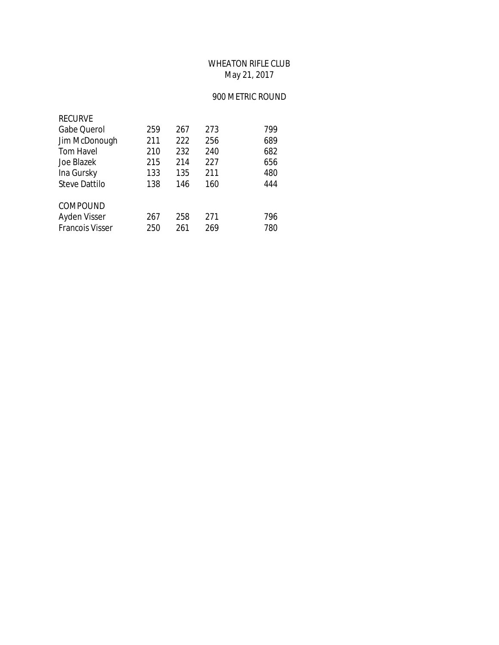## WHEATON RIFLE CLUB May 21, 2017

## 900 METRIC ROUND

| <b>RECURVE</b>         |     |     |     |     |
|------------------------|-----|-----|-----|-----|
| <b>Gabe Querol</b>     | 259 | 267 | 273 | 799 |
| Jim McDonough          | 211 | 222 | 256 | 689 |
| <b>Tom Havel</b>       | 210 | 232 | 240 | 682 |
| Joe Blazek             | 215 | 214 | 227 | 656 |
| Ina Gursky             | 133 | 135 | 211 | 480 |
| <b>Steve Dattilo</b>   | 138 | 146 | 160 | 444 |
| COMPOUND               |     |     |     |     |
| Ayden Visser           | 267 | 258 | 271 | 796 |
| <b>Francois Visser</b> | 250 | 261 | 269 | 780 |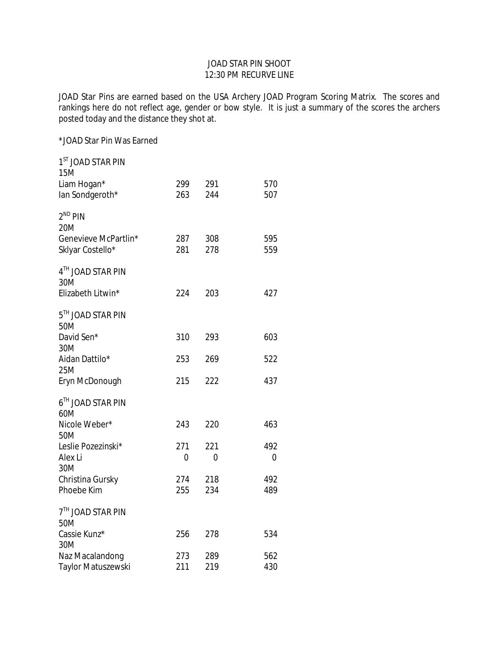## JOAD STAR PIN SHOOT 12:30 PM RECURVE LINE

JOAD Star Pins are earned based on the USA Archery JOAD Program Scoring Matrix. The scores and rankings here do not reflect age, gender or bow style. It is just a summary of the scores the archers posted today and the distance they shot at.

\*JOAD Star Pin Was Earned

| 1 <sup>ST</sup> JOAD STAR PIN<br><b>15M</b> |            |            |            |
|---------------------------------------------|------------|------------|------------|
| Liam Hogan*                                 | 299        | 291        | 570        |
| lan Sondgeroth*                             | 263        | 244        | 507        |
| $2^{ND}$ PIN<br>20M                         |            |            |            |
| Genevieve McPartlin*                        | 287        | 308        | 595        |
| Sklyar Costello*                            | 281        | 278        | 559        |
| 4TH JOAD STAR PIN<br>30M                    |            |            |            |
| Elizabeth Litwin*                           | 224        | 203        | 427        |
| 5TH JOAD STAR PIN<br>50M                    |            |            |            |
| David Sen*                                  | 310        | 293        | 603        |
| 30M                                         |            |            |            |
| Aidan Dattilo*<br>25M                       | 253        | 269        | 522        |
| Eryn McDonough                              | 215        | 222        | 437        |
| 6TH JOAD STAR PIN<br>60M                    |            |            |            |
| Nicole Weber*<br>50M                        | 243        | 220        | 463        |
| Leslie Pozezinski*                          | 271        | 221        | 492        |
| Alex Li                                     | 0          | 0          | 0          |
| 30M                                         |            |            |            |
| Christina Gursky<br>Phoebe Kim              | 274<br>255 | 218<br>234 | 492<br>489 |
|                                             |            |            |            |
| 7 <sup>TH</sup> JOAD STAR PIN<br>50M        |            |            |            |
| Cassie Kunz*                                | 256        | 278        | 534        |
| 30M                                         |            |            |            |
| Naz Macalandong                             | 273        | 289        | 562        |
| Taylor Matuszewski                          | 211        | 219        | 430        |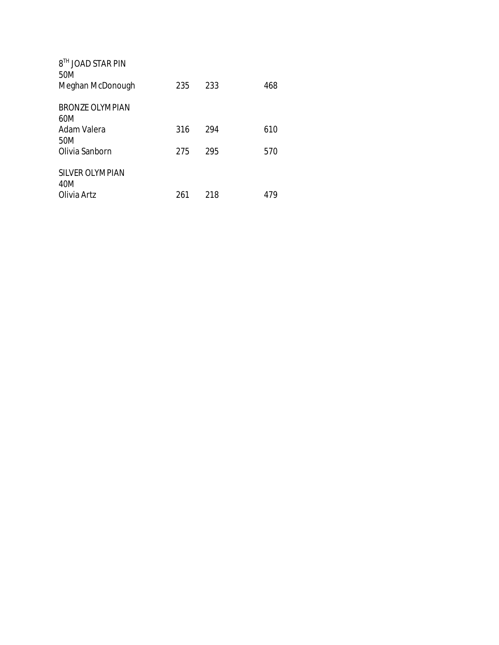| 8 <sup>TH</sup> JOAD STAR PIN<br>50M<br>Meghan McDonough | 235 | 233 | 468 |
|----------------------------------------------------------|-----|-----|-----|
| <b>BRONZE OLYMPIAN</b>                                   |     |     |     |
| 60M                                                      |     |     |     |
| Adam Valera                                              | 316 | 294 | 610 |
| 50M                                                      |     |     |     |
| Olivia Sanborn                                           | 275 | 295 | 570 |
|                                                          |     |     |     |
| SILVER OLYMPIAN                                          |     |     |     |
| 40M                                                      |     |     |     |
| Olivia Artz                                              | 261 | 218 | 479 |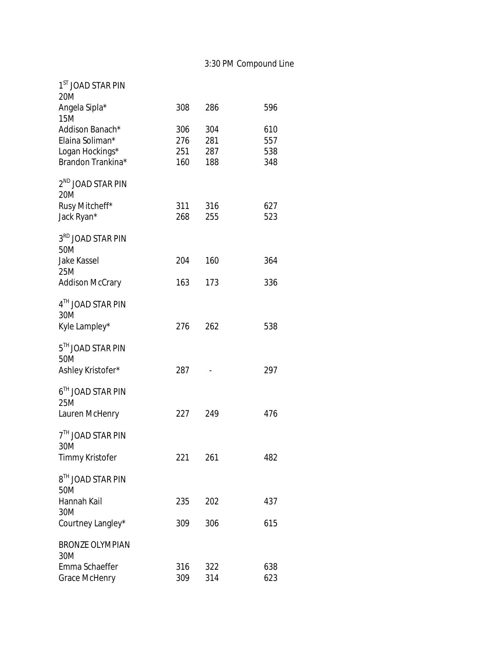| 1 <sup>ST</sup> JOAD STAR PIN                                              |                          |                          |                          |
|----------------------------------------------------------------------------|--------------------------|--------------------------|--------------------------|
| 20M<br>Angela Sipla*<br><b>15M</b>                                         | 308                      | 286                      | 596                      |
| Addison Banach*<br>Elaina Soliman*<br>Logan Hockings*<br>Brandon Trankina* | 306<br>276<br>251<br>160 | 304<br>281<br>287<br>188 | 610<br>557<br>538<br>348 |
| 2 <sup>ND</sup> JOAD STAR PIN<br>20M                                       |                          |                          |                          |
| Rusy Mitcheff*<br>Jack Ryan*                                               | 311<br>268               | 316<br>255               | 627<br>523               |
| 3 <sup>RD</sup> JOAD STAR PIN<br>50M                                       |                          |                          |                          |
| <b>Jake Kassel</b><br>25M                                                  | 204                      | 160                      | 364                      |
| <b>Addison McCrary</b>                                                     | 163                      | 173                      | 336                      |
| 4TH JOAD STAR PIN<br>30M                                                   |                          |                          |                          |
| Kyle Lampley*                                                              | 276                      | 262                      | 538                      |
| 5TH JOAD STAR PIN<br>50M                                                   |                          |                          |                          |
| Ashley Kristofer*                                                          | 287                      |                          | 297                      |
| $6^{\text{TH}}$ JOAD STAR PIN<br>25M                                       |                          |                          |                          |
| Lauren McHenry                                                             | 227                      | 249                      | 476                      |
| 7 <sup>TH</sup> JOAD STAR PIN<br>30M                                       |                          |                          |                          |
| <b>Timmy Kristofer</b>                                                     | 221                      | 261                      | 482                      |
| 8TH JOAD STAR PIN<br>50M                                                   |                          |                          |                          |
| Hannah Kail<br>30M                                                         | 235                      | 202                      | 437                      |
| Courtney Langley*                                                          | 309                      | 306                      | 615                      |
| <b>BRONZE OLYMPIAN</b><br>30M                                              |                          |                          |                          |
| Emma Schaeffer<br><b>Grace McHenry</b>                                     | 316<br>309               | 322<br>314               | 638<br>623               |